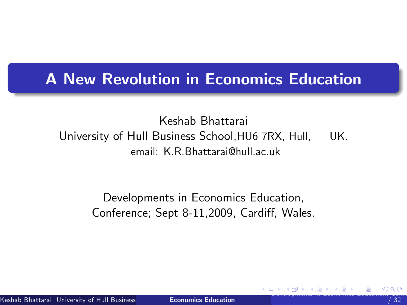#### A New Revolution in Economics Education

Keshab Bhattarai University of Hull Business School,HU6 7RX, Hull, UK. email: K.R.Bhattarai@hull.ac.uk

> <span id="page-0-0"></span>Developments in Economics Education, Conference; Sept 8-11, 2009, Cardiff, Wales.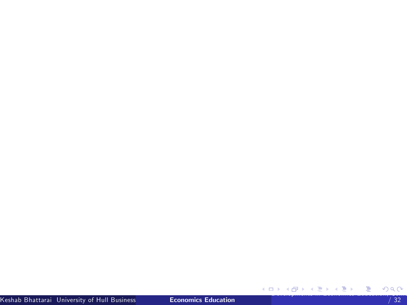<span id="page-1-0"></span>[Dev](#page-2-0)[el](#page-0-0)[opm](#page-1-0)[en](#page-2-0)[ts](#page-0-0) [in](#page-1-0) [E](#page-2-0)[c](#page-3-0)[on](#page-0-0)[om](#page-1-0)[i](#page-2-0)[cs](#page-3-0) [Edu](#page-0-0)[catio](#page-33-0)n, Conference; Sept 8-11,2009, Cardi§, Wales. 2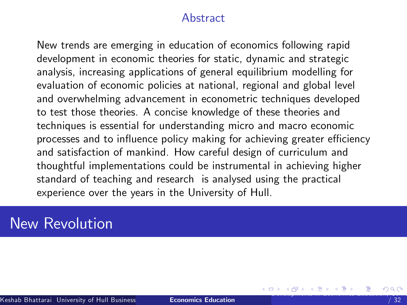#### <span id="page-2-0"></span>Abstract

New trends are emerging in education of economics following rapid development in economic theories for static, dynamic and strategic analysis, increasing applications of general equilibrium modelling for evaluation of economic policies at national, regional and global level and overwhelming advancement in econometric techniques developed to test those theories. A concise knowledge of these theories and techniques is essential for understanding micro and macro economic processes and to influence policy making for achieving greater efficiency and satisfaction of mankind. How careful design of curriculum and thoughtful implementations could be instrumental in achieving higher standard of teaching and research is analysed using the practical experience over the years in the University of Hull.

#### New Revolution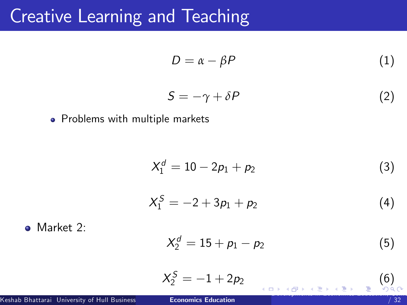# Creative Learning and Teaching

$$
D = \alpha - \beta P \tag{1}
$$

$$
S = -\gamma + \delta P \tag{2}
$$

• Problems with multiple markets

$$
X_1^d = 10 - 2p_1 + p_2 \tag{3}
$$

$$
X_1^S = -2 + 3p_1 + p_2 \tag{4}
$$

• Market 2:

$$
X_2^d = 15 + p_1 - p_2 \tag{5}
$$

<span id="page-3-0"></span>
$$
X_2^S = -1 + 2p_2 \tag{6}
$$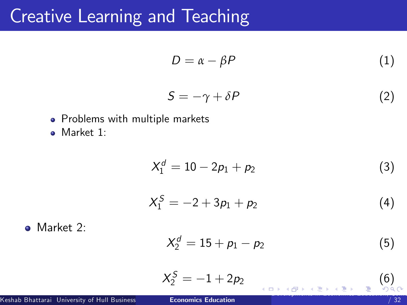# Creative Learning and Teaching

$$
D = \alpha - \beta P \tag{1}
$$

$$
S = -\gamma + \delta P \tag{2}
$$

- Problems with multiple markets
- Market 1:

$$
X_1^d = 10 - 2p_1 + p_2 \tag{3}
$$

$$
X_1^S = -2 + 3p_1 + p_2 \tag{4}
$$

• Market 2:

$$
X_2^d = 15 + p_1 - p_2 \tag{5}
$$

<span id="page-4-0"></span>
$$
X_2^S = -1 + 2p_2 \tag{6}
$$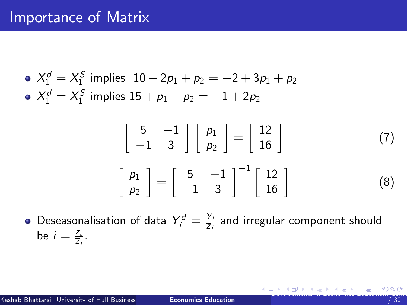• 
$$
X_1^d = X_1^S
$$
 implies  $10 - 2p_1 + p_2 = -2 + 3p_1 + p_2$   
\n•  $X_1^d = X_1^S$  implies  $15 + p_1 - p_2 = -1 + 2p_2$ 

$$
\begin{bmatrix} 5 & -1 \ -1 & 3 \end{bmatrix} \begin{bmatrix} p_1 \ p_2 \end{bmatrix} = \begin{bmatrix} 12 \ 16 \end{bmatrix}
$$
 (7)  

$$
\begin{bmatrix} p_1 \ p_2 \end{bmatrix} = \begin{bmatrix} 5 & -1 \ -1 & 3 \end{bmatrix}^{-1} \begin{bmatrix} 12 \ 16 \end{bmatrix}
$$
 (8)

Deseasonalisation of data  $Y^d_i = \frac{Y_i}{\overline{z}_i}$  $\frac{\mathbf{y}_i}{\overline{\mathbf{z}}_i}$  and irregular component should be  $i = \frac{z_i}{\overline{z}}$  $\frac{z_t}{\overline{z}_i}$ .

<span id="page-5-0"></span>[Dev](#page-6-0)[el](#page-4-0)[opm](#page-5-0)[en](#page-6-0)[ts](#page-4-0) [in](#page-5-0) [E](#page-10-0)[c](#page-11-0)[on](#page-2-0)[om](#page-3-0)[i](#page-10-0)[cs](#page-11-0) [Edu](#page-0-0)[catio](#page-33-0)n, Conference; Sept 8-11,2009, Cardi§, Wales. 4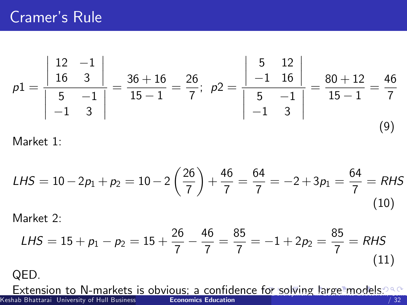# Cramer's Rule

$$
p1 = \frac{\begin{vmatrix} 12 & -1 \\ 16 & 3 \end{vmatrix}}{\begin{vmatrix} 5 & -1 \\ -1 & 3 \end{vmatrix}} = \frac{36 + 16}{15 - 1} = \frac{26}{7}; \ \ p2 = \frac{\begin{vmatrix} 5 & 12 \\ -1 & 16 \end{vmatrix}}{\begin{vmatrix} 5 & -1 \\ -1 & 3 \end{vmatrix}} = \frac{80 + 12}{15 - 1} = \frac{46}{7}
$$
(9)

Market 1:

$$
LHS = 10 - 2p_1 + p_2 = 10 - 2\left(\frac{26}{7}\right) + \frac{46}{7} = \frac{64}{7} = -2 + 3p_1 = \frac{64}{7} = RHS
$$
\n(10)

Market 2:

<span id="page-6-0"></span>
$$
LHS = 15 + p_1 - p_2 = 15 + \frac{26}{7} - \frac{46}{7} = \frac{85}{7} = -1 + 2p_2 = \frac{85}{7} = RHS
$$
\n(11)

#### QED.

Extension to N-markets is obvious; a confidence [fo](#page-5-0)[r s](#page-7-0)[o](#page-5-0)[lvi](#page-6-0)[n](#page-7-0)[g](#page-2-0) [l](#page-5-0)[a](#page-10-0)[r](#page-11-0)g[e](#page-3-0)[m](#page-11-0)[od](#page-0-0)[els](#page-33-0).  $\infty$ Keshab Bhattarai University of Hull Business **School, Economics Education**  $/32$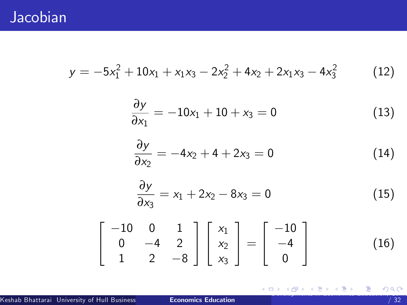$$
y = -5x_1^2 + 10x_1 + x_1x_3 - 2x_2^2 + 4x_2 + 2x_1x_3 - 4x_3^2 \hspace{1cm} (12)
$$

$$
\frac{\partial y}{\partial x_1} = -10x_1 + 10 + x_3 = 0 \tag{13}
$$

$$
\frac{\partial y}{\partial x_2} = -4x_2 + 4 + 2x_3 = 0 \tag{14}
$$

$$
\frac{\partial y}{\partial x_3} = x_1 + 2x_2 - 8x_3 = 0 \tag{15}
$$

$$
\begin{bmatrix} -10 & 0 & 1 \ 0 & -4 & 2 \ 1 & 2 & -8 \end{bmatrix} \begin{bmatrix} x_1 \ x_2 \ x_3 \end{bmatrix} = \begin{bmatrix} -10 \ -4 \ 0 \end{bmatrix}
$$
 (16)

<span id="page-7-0"></span>[Dev](#page-8-0)[el](#page-6-0)[opm](#page-7-0)[en](#page-8-0)[ts](#page-4-0) [in](#page-5-0) [E](#page-10-0)[c](#page-11-0)[on](#page-2-0)[om](#page-3-0)[i](#page-10-0)[cs](#page-11-0) [Edu](#page-0-0)[catio](#page-33-0)n, Conference; Sept 8-11,2009, Cardi§, Wales. 6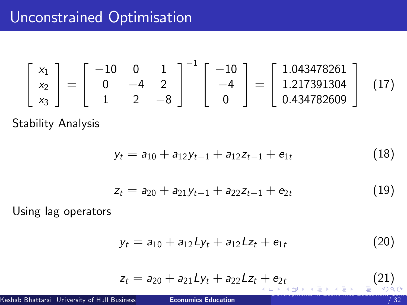$$
\begin{bmatrix} x_1 \\ x_2 \\ x_3 \end{bmatrix} = \begin{bmatrix} -10 & 0 & 1 \\ 0 & -4 & 2 \\ 1 & 2 & -8 \end{bmatrix}^{-1} \begin{bmatrix} -10 \\ -4 \\ 0 \end{bmatrix} = \begin{bmatrix} 1.043478261 \\ 1.217391304 \\ 0.434782609 \end{bmatrix}
$$
 (17)

Stability Analysis

$$
y_t = a_{10} + a_{12}y_{t-1} + a_{12}z_{t-1} + e_{1t}
$$
 (18)

$$
z_t = a_{20} + a_{21}y_{t-1} + a_{22}z_{t-1} + e_{2t}
$$
 (19)

Using lag operators

$$
y_t = a_{10} + a_{12}Ly_t + a_{12}Lz_t + e_{1t}
$$
 (20)

<span id="page-8-0"></span>
$$
z_t = a_{20} + a_{21}Ly_t + a_{22}Lz_t + e_{2t}
$$
 (21)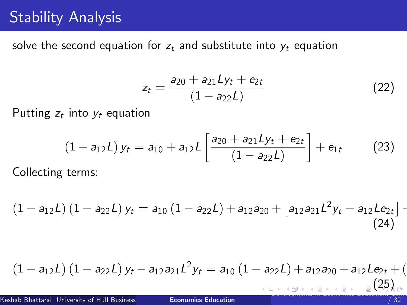# Stability Analysis

solve the second equation for  $z_t$  and substitute into  $y_t$  equation

<span id="page-9-0"></span>
$$
z_t = \frac{a_{20} + a_{21}Ly_t + e_{2t}}{(1 - a_{22}L)} \tag{22}
$$

Putting  $z_t$  into  $y_t$  equation

$$
(1-a_{12}L)y_t = a_{10} + a_{12}L\left[\frac{a_{20} + a_{21}Ly_t + e_{2t}}{(1-a_{22}L)}\right] + e_{1t}
$$
 (23)

Collecting terms:

$$
(1-a_{12}L)(1-a_{22}L)y_t = a_{10}(1-a_{22}L) + a_{12}a_{20} + [a_{12}a_{21}L^2y_t + a_{12}Le_{2t}] +
$$
\n(24)

$$
(1 - a_{12}L) (1 - a_{22}L) y_t - a_{12}a_{21}L^2 y_t = a_{10} (1 - a_{22}L) + a_{12}a_{20} + a_{12}Le_{2t} + (a_{12}a_{20} + a_{12}Le_{2t})
$$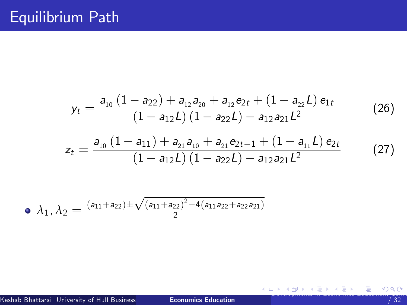$$
y_{t} = \frac{a_{10} (1 - a_{22}) + a_{12} a_{20} + a_{12} e_{2t} + (1 - a_{22} L) e_{1t}}{(1 - a_{12} L) (1 - a_{22} L) - a_{12} a_{21} L^{2}}
$$
(26)  

$$
z_{t} = \frac{a_{10} (1 - a_{11}) + a_{21} a_{10} + a_{21} e_{2t - 1} + (1 - a_{11} L) e_{2t}}{(1 - a_{12} L) (1 - a_{22} L) - a_{12} a_{21} L^{2}}
$$
(27)

$$
\bullet\;\lambda_1,\lambda_2=\tfrac{(a_{11}+a_{22})\pm\sqrt{\left(a_{11}+a_{22}\right)^2-4\left(a_{11}a_{22}+a_{22}a_{21}\right)}}{2}
$$

<span id="page-10-0"></span>[Dev](#page-11-0)[el](#page-9-0)[opm](#page-10-0)[en](#page-11-0)[ts](#page-4-0) [in](#page-5-0) [E](#page-10-0)[c](#page-11-0)[on](#page-2-0)[om](#page-3-0)[i](#page-10-0)[cs](#page-11-0) [Edu](#page-0-0)[catio](#page-33-0)n, Conference; Sept 8-11,2009, Cardi§, Wales. 9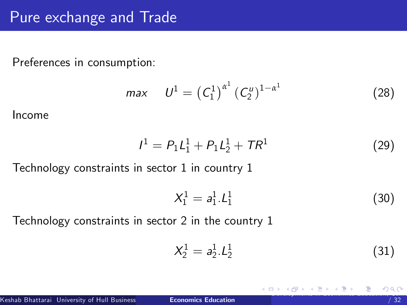Preferences in consumption:

$$
max \t U^1 = (C_1^1)^{\alpha^1} (C_2^u)^{1-\alpha^1} \t (28)
$$

Income

$$
I^1 = P_1 L_1^1 + P_1 L_2^1 + T R^1 \tag{29}
$$

Technology constraints in sector 1 in country 1

$$
X_1^1 = a_1^1 \cdot L_1^1 \tag{30}
$$

Technology constraints in sector 2 in the country 1

<span id="page-11-0"></span>
$$
X_2^1 = a_2^1 \cdot L_2^1 \tag{31}
$$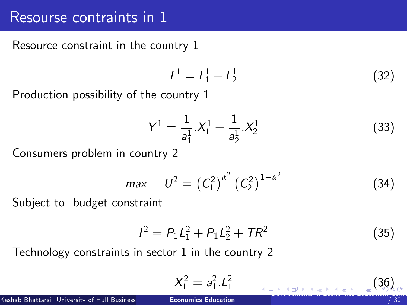#### Resourse contraints in 1

Resource constraint in the country 1

$$
L^1 = L_1^1 + L_2^1 \tag{32}
$$

Production possibility of the country 1

$$
Y^{1} = \frac{1}{a_1^{1}} X_1^{1} + \frac{1}{a_2^{1}} X_2^{1}
$$
 (33)

Consumers problem in country 2

$$
max \tU^2 = (C_1^2)^{\alpha^2} (C_2^2)^{1-\alpha^2}
$$
\t(34)

Subject to budget constraint

$$
I^2 = P_1 L_1^2 + P_1 L_2^2 + T R^2 \tag{35}
$$

Technology constraints in sector 1 in the country 2

<span id="page-12-0"></span>
$$
X_1^2 = a_1^2 \cdot L_1^2 \qquad \qquad \text{for all } x \in \mathbb{R} \text{ such that } \mathbb{R}^2 \times \mathbb{R}^3 \times \mathbb{R}^3
$$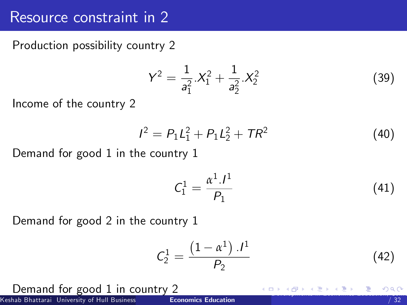#### Resource constraint in 2

Production possibility country 2

$$
Y^2 = \frac{1}{a_1^2} X_1^2 + \frac{1}{a_2^2} X_2^2 \tag{39}
$$

Income of the country 2

$$
I^2 = P_1 L_1^2 + P_1 L_2^2 + T R^2 \tag{40}
$$

Demand for good 1 in the country 1

$$
C_1^1 = \frac{\alpha^1 I^1}{P_1} \tag{41}
$$

Demand for good 2 in the country 1

<span id="page-13-0"></span>
$$
C_2^1 = \frac{(1 - \alpha^1) \, J^1}{P_2} \tag{42}
$$

Demand for good 1 in country 2<br>hab Bhattarai, University of Hull Business **Economics Education** 

.<br>Keshab Bhattarai University of Hull Business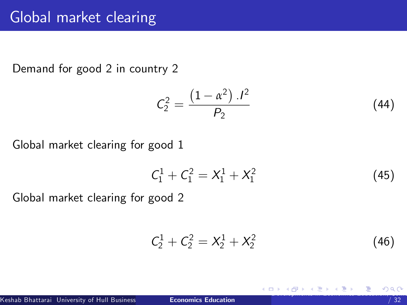Demand for good 2 in country 2

$$
C_2^2 = \frac{(1 - \alpha^2) \, J^2}{P_2} \tag{44}
$$

Global market clearing for good 1

$$
C_1^1 + C_1^2 = X_1^1 + X_1^2 \tag{45}
$$

Global market clearing for good 2

<span id="page-14-0"></span>
$$
C_2^1 + C_2^2 = X_2^1 + X_2^2 \tag{46}
$$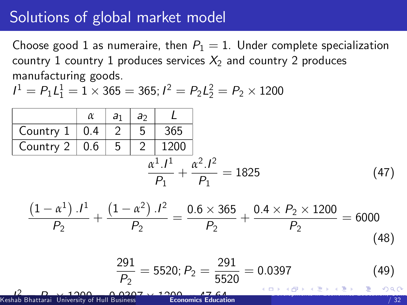#### Solutions of global market model

Choose good 1 as numeraire, then  $P_1 = 1$ . Under complete specialization country 1 country 1 produces services  $X_2$  and country 2 produces manufacturing goods.

$$
I^1 = P_1 L_1^1 = 1 \times 365 = 365; I^2 = P_2 L_2^2 = P_2 \times 1200
$$



<span id="page-15-0"></span>
$$
\frac{\left(1-\alpha^{1}\right) . I^{1}}{P_{2}} + \frac{\left(1-\alpha^{2}\right) . I^{2}}{P_{2}} = \frac{0.6 \times 365}{P_{2}} + \frac{0.4 \times P_{2} \times 1200}{P_{2}} = 6000
$$
\n(48)

291 P2 = 5520; P<sup>2</sup> = 291 5520 = 0.0397 (49) I Keshab Bhattarai University of Hull Business School, <sup>2</sup> <sup>=</sup> <sup>P</sup><sup>2</sup> - 1200 = 0.0397 - 1200 H[U6 7RX, Hull,](#page-0-0) [UK](#page-14-0). email: K.R.Bhattarai@hull.ac.uk Economics Education = 47.64 () [Dev](#page-16-0)[el](#page-14-0)[opm](#page-15-0)[en](#page-16-0)[ts](#page-10-0) [in](#page-11-0) [E](#page-25-0)[c](#page-26-0)[on](#page-10-0)[om](#page-11-0)[i](#page-25-0)[cs](#page-26-0) [Edu](#page-0-0)[catio](#page-33-0)n, Conference; Sept 8-11,2009, Cardi§, Wales. 14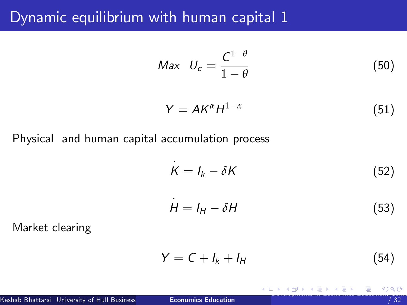$$
Max \quad U_c = \frac{C^{1-\theta}}{1-\theta} \tag{50}
$$

$$
Y = AK^{\alpha}H^{1-\alpha} \tag{51}
$$

Physical and human capital accumulation process

$$
\dot{K} = I_k - \delta K \tag{52}
$$

$$
\dot{H} = I_H - \delta H \tag{53}
$$

Market clearing

<span id="page-16-0"></span>
$$
Y = C + I_k + I_H \tag{54}
$$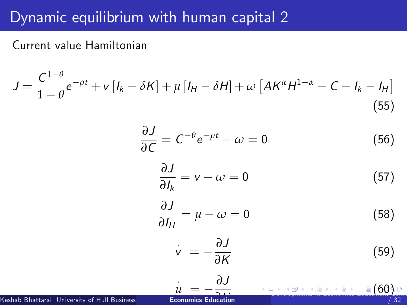Current value Hamiltonian

$$
J = \frac{C^{1-\theta}}{1-\theta}e^{-\rho t} + v\left[l_k - \delta K\right] + \mu\left[l_H - \delta H\right] + \omega\left[AK^{\alpha}H^{1-\alpha} - C - l_k - l_H\right]
$$
\n(55)

$$
\frac{\partial J}{\partial C} = C^{-\theta} e^{-\rho t} - \omega = 0 \tag{56}
$$

$$
\frac{\partial J}{\partial l_k} = v - \omega = 0 \tag{57}
$$

$$
\frac{\partial J}{\partial l_H} = \mu - \omega = 0 \tag{58}
$$

$$
\dot{v} = -\frac{\partial J}{\partial K} \tag{59}
$$

Keshab Bhattarai University of Hull Business School,H[U6 7RX, Hull,](#page-0-0) [UK](#page-16-0). email: K.R.Bhattarai@hull.ac.uk Economics Education ()

 $\mu = -\frac{89}{2H}$ 

<span id="page-17-0"></span>*∂*J

i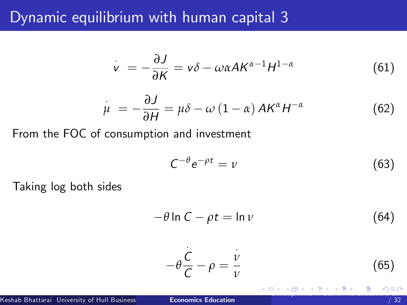$$
\dot{\mathbf{v}} = -\frac{\partial J}{\partial K} = \mathbf{v}\delta - \omega\alpha A K^{\alpha - 1} H^{1 - \alpha}
$$
 (61)

$$
\dot{\mu} = -\frac{\partial J}{\partial H} = \mu \delta - \omega (1 - \alpha) A K^{\alpha} H^{-\alpha}
$$
 (62)

From the FOC of consumption and investment

$$
C^{-\theta}e^{-\rho t}=\nu\tag{63}
$$

Taking log both sides

<span id="page-18-0"></span>
$$
-\theta \ln C - \rho t = \ln \nu \tag{64}
$$

$$
-\theta \frac{\dot{C}}{C} - \rho = \frac{\dot{\nu}}{\nu} \tag{65}
$$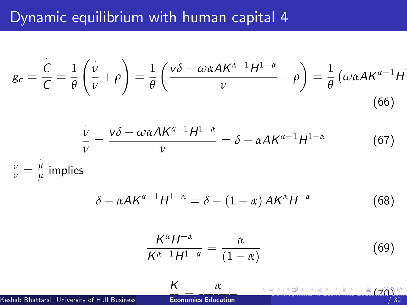$$
g_c = \frac{\dot{C}}{C} = \frac{1}{\theta} \left( \frac{\dot{\nu}}{\nu} + \rho \right) = \frac{1}{\theta} \left( \frac{v\delta - \omega\alpha A K^{\alpha - 1} H^{1 - \alpha}}{\nu} + \rho \right) = \frac{1}{\theta} \left( \omega\alpha A K^{\alpha - 1} H^{1 - \alpha} \right)
$$
\n
$$
\frac{\dot{\nu}}{\nu} = \frac{v\delta - \omega\alpha A K^{\alpha - 1} H^{1 - \alpha}}{\nu} = \delta - \alpha A K^{\alpha - 1} H^{1 - \alpha} \tag{67}
$$
\n
$$
\frac{\dot{\nu}}{\nu} = \frac{\dot{\mu}}{\mu} \text{ implies}
$$

$$
\delta - \alpha A K^{\alpha - 1} H^{1 - \alpha} = \delta - (1 - \alpha) A K^{\alpha} H^{-\alpha}
$$
 (68)

$$
\frac{K^{\alpha}H^{-\alpha}}{K^{\alpha-1}H^{1-\alpha}}=\frac{\alpha}{(1-\alpha)}
$$
\n(69)

<span id="page-19-0"></span> $\begin{array}{ccc} \mathcal{A} & \square & \rightarrow & \mathcal{A} \oplus \mathcal{B} & \rightarrow & \mathcal{A} \oplus \mathcal{B} & \longrightarrow & \mathcal{B} \end{array} \begin{array}{c} \mathcal{B} & \square & \mathcal{B} & \longrightarrow & \mathcal{B} \end{array} \begin{array}{c} \mathcal{B} & \square & \mathcal{B} \end{array}$  $\begin{array}{ccc} \mathcal{A} & \square & \rightarrow & \mathcal{A} \oplus \mathcal{B} & \rightarrow & \mathcal{A} \oplus \mathcal{B} & \longrightarrow & \mathcal{B} \end{array} \begin{array}{c} \mathcal{B} & \square & \mathcal{B} & \longrightarrow & \mathcal{B} \end{array} \begin{array}{c} \mathcal{B} & \square & \mathcal{B} \end{array}$  $\begin{array}{ccc} \mathcal{A} & \square & \rightarrow & \mathcal{A} \oplus \mathcal{B} & \rightarrow & \mathcal{A} \oplus \mathcal{B} & \longrightarrow & \mathcal{B} \end{array} \begin{array}{c} \mathcal{B} & \square & \mathcal{B} & \longrightarrow & \mathcal{B} \end{array} \begin{array}{c} \mathcal{B} & \square & \mathcal{B} \end{array}$  $\begin{array}{ccc} \mathcal{A} & \square & \rightarrow & \mathcal{A} \oplus \mathcal{B} & \rightarrow & \mathcal{A} \oplus \mathcal{B} & \longrightarrow & \mathcal{B} \end{array} \begin{array}{c} \mathcal{B} & \square & \mathcal{B} & \longrightarrow & \mathcal{B} \end{array} \begin{array}{c} \mathcal{B} & \square & \mathcal{B} \end{array}$  $\begin{array}{ccc} \mathcal{A} & \square & \rightarrow & \mathcal{A} \oplus \mathcal{B} & \rightarrow & \mathcal{A} \oplus \mathcal{B} & \longrightarrow & \mathcal{B} \end{array} \begin{array}{c} \mathcal{B} & \square & \mathcal{B} & \longrightarrow & \mathcal{B} \end{array} \begin{array}{c} \mathcal{B} & \square & \mathcal{B} \end{array}$  $\begin{array}{ccc} \mathcal{A} & \square & \rightarrow & \mathcal{A} \oplus \mathcal{B} & \rightarrow & \mathcal{A} \oplus \mathcal{B} & \longrightarrow & \mathcal{B} \end{array} \begin{array}{c} \mathcal{B} & \square & \mathcal{B} & \longrightarrow & \mathcal{B} \end{array} \begin{array}{c} \mathcal{B} & \square & \mathcal{B} \end{array}$  $\begin{array}{ccc} \mathcal{A} & \square & \rightarrow & \mathcal{A} \oplus \mathcal{B} & \rightarrow & \mathcal{A} \oplus \mathcal{B} & \longrightarrow & \mathcal{B} \end{array} \begin{array}{c} \mathcal{B} & \square & \mathcal{B} & \longrightarrow & \mathcal{B} \end{array} \begin{array}{c} \mathcal{B} & \square & \mathcal{B} \end{array}$  $\begin{array}{ccc} \mathcal{A} & \square & \rightarrow & \mathcal{A} \oplus \mathcal{B} & \rightarrow & \mathcal{A} \oplus \mathcal{B} & \longrightarrow & \mathcal{B} \end{array} \begin{array}{c} \mathcal{B} & \square & \mathcal{B} & \longrightarrow & \mathcal{B} \end{array} \begin{array}{c} \mathcal{B} & \square & \mathcal{B} \end{array}$  $\begin{array}{ccc} \mathcal{A} & \square & \rightarrow & \mathcal{A} \oplus \mathcal{B} & \rightarrow & \mathcal{A} \oplus \mathcal{B} & \longrightarrow & \mathcal{B} \end{array} \begin{array}{c} \mathcal{B} & \square & \mathcal{B} & \longrightarrow & \mathcal{B} \end{array} \begin{array}{c} \mathcal{B} & \square & \mathcal{B} \end{array}$ 

*α*

K

<sup>1</sup>*<sup>α</sup> <sup>δ</sup> <sup>ρ</sup>*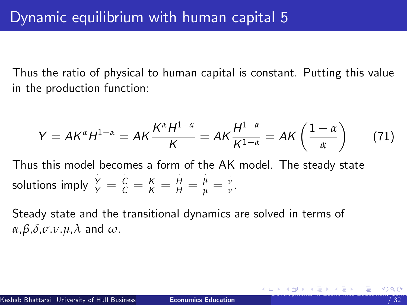Thus the ratio of physical to human capital is constant. Putting this value in the production function:

$$
Y = AK^{\alpha}H^{1-\alpha} = AK\frac{K^{\alpha}H^{1-\alpha}}{K} = AK\frac{H^{1-\alpha}}{K^{1-\alpha}} = AK\left(\frac{1-\alpha}{\alpha}\right) \tag{71}
$$

Thus this model becomes a form of the AK model. The steady state solutions imply  $\frac{\dot{Y}}{Y} = \frac{\dot{C}}{C} = \frac{\dot{K}}{K} = \frac{H}{H} = \frac{\dot{\mu}}{\mu} = \frac{\dot{\nu}}{\nu}$ *ν* .

<span id="page-20-0"></span>Steady state and the transitional dynamics are solved in terms of *α*,*β*,*δ*,*σ*,*ν*,*µ*,*λ* and *ω*.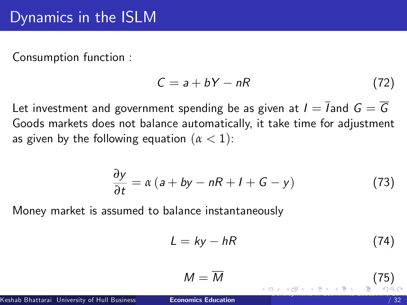Consumption function :

$$
C = a + bY - nR \tag{72}
$$

Let investment and government spending be as given at  $I = \overline{I}$  and  $G = \overline{G}$ Goods markets does not balance automatically, it take time for adjustment as given by the following equation  $(\alpha < 1)$ :

$$
\frac{\partial y}{\partial t} = \alpha (a + by - nR + I + G - y)
$$
 (73)

Money market is assumed to balance instantaneously

$$
L = ky - hR \tag{74}
$$

<span id="page-21-0"></span>
$$
M = \overline{M} \tag{75}
$$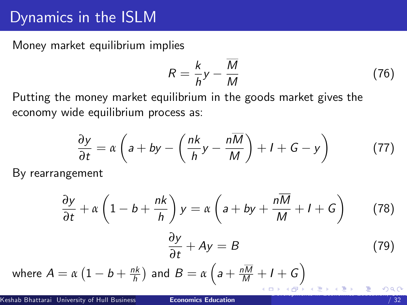# Dynamics in the ISLM

Money market equilibrium implies

<span id="page-22-0"></span>
$$
R = \frac{k}{h}y - \frac{\overline{M}}{M} \tag{76}
$$

Putting the money market equilibrium in the goods market gives the economy wide equilibrium process as:

$$
\frac{\partial y}{\partial t} = \alpha \left( a + by - \left( \frac{nk}{h} y - \frac{n \overline{M}}{M} \right) + l + G - y \right) \tag{77}
$$

By rearrangement

$$
\frac{\partial y}{\partial t} + \alpha \left( 1 - b + \frac{nk}{h} \right) y = \alpha \left( a + by + \frac{n\overline{M}}{M} + I + G \right) \tag{78}
$$
  

$$
\frac{\partial y}{\partial t} + Ay = B \tag{79}
$$
  
where  $A = \alpha \left( 1 - b + \frac{nk}{h} \right)$  and  $B = \alpha \left( a + \frac{n\overline{M}}{M} + I + G \right)$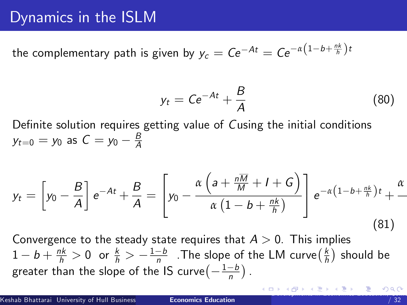### Dynamics in the ISLM

the complementary path is given by  $y_c = C e^{-At} = C e^{-\alpha \left(1-b+\frac{nk}{h}\right)t}$ 

$$
y_t = Ce^{-At} + \frac{B}{A}
$$
 (80)

Definite solution requires getting value of Cusing the initial conditions  $y_{t=0} = y_0$  as  $C = y_0 - \frac{B}{A}$ 

$$
y_t = \left[ y_0 - \frac{B}{A} \right] e^{-At} + \frac{B}{A} = \left[ y_0 - \frac{\alpha \left( a + \frac{n \overline{M}}{M} + I + G \right)}{\alpha \left( 1 - b + \frac{n k}{h} \right)} \right] e^{-\alpha \left( 1 - b + \frac{n k}{h} \right)t} + \frac{\alpha}{4}
$$
\n(81)

Convergence to the steady state requires that  $A > 0$ . This implies  $1 - b + \frac{nk}{h} > 0$  or  $\frac{k}{h} > -\frac{1-b}{n}$  . The slope of the LM curve $(\frac{k}{h})$  $\frac{k}{h}$ ) should be greater than the slope of the IS curve $\left(-\frac{1-b}{n}\right)$  .

<span id="page-23-0"></span>[Dev](#page-24-0)[el](#page-22-0)[opm](#page-23-0)[en](#page-24-0)[ts](#page-10-0) [in](#page-11-0) [E](#page-25-0)[c](#page-26-0)[on](#page-10-0)[om](#page-11-0)[i](#page-25-0)[cs](#page-26-0) [Edu](#page-0-0)[catio](#page-33-0)n, Conference; Sept 8-11,2009, Cardi§, Wales. 22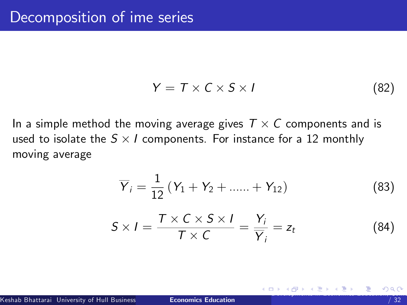$$
Y = T \times C \times S \times I \tag{82}
$$

In a simple method the moving average gives  $T \times C$  components and is used to isolate the  $S \times I$  components. For instance for a 12 monthly moving average

$$
\overline{Y}_i = \frac{1}{12} (Y_1 + Y_2 + \dots + Y_{12})
$$
 (83)

<span id="page-24-0"></span>
$$
S \times I = \frac{T \times C \times S \times I}{T \times C} = \frac{Y_i}{Y_i} = z_t
$$
 (84)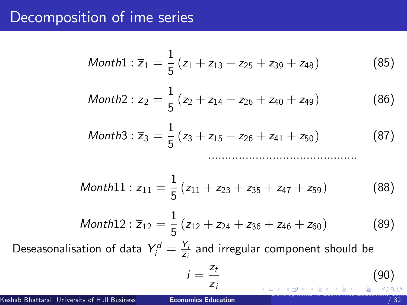# Decomposition of ime series

*Month*1: 
$$
\overline{z}_1 = \frac{1}{5} (z_1 + z_{13} + z_{25} + z_{39} + z_{48})
$$
 (85)

$$
Month2: \overline{z}_2 = \frac{1}{5} (z_2 + z_{14} + z_{26} + z_{40} + z_{49}) \tag{86}
$$

$$
Monthly: \overline{z}_3 = \frac{1}{5} (z_3 + z_{15} + z_{26} + z_{41} + z_{50})
$$
 (87)

$$
Month11: \overline{z}_{11} = \frac{1}{5} (z_{11} + z_{23} + z_{35} + z_{47} + z_{59}) \tag{88}
$$

$$
Month12: \overline{z}_{12} = \frac{1}{5} (z_{12} + z_{24} + z_{36} + z_{46} + z_{60}) \tag{89}
$$

Deseasonalisation of data  $Y^d_i = \frac{Y_i}{\overline{z}_i}$  $\frac{\mathbf{y}_i}{\overline{\mathbf{z}}_i}$  and irregular component should be

<span id="page-25-0"></span>
$$
i = \frac{z_t}{\overline{z}_i}
$$
 (90)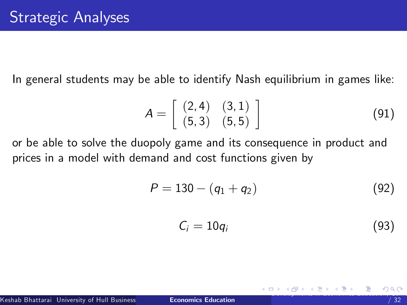In general students may be able to identify Nash equilibrium in games like:

$$
A = \left[ \begin{array}{cc} (2,4) & (3,1) \\ (5,3) & (5,5) \end{array} \right] \tag{91}
$$

or be able to solve the duopoly game and its consequence in product and prices in a model with demand and cost functions given by

$$
P = 130 - (q_1 + q_2) \tag{92}
$$

<span id="page-26-0"></span>
$$
C_i = 10q_i \tag{93}
$$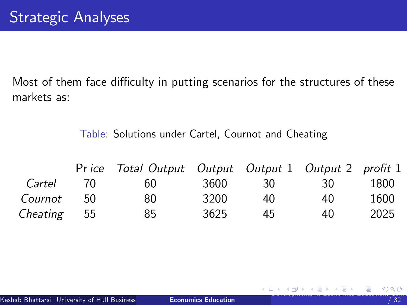Most of them face difficulty in putting scenarios for the structures of these markets as:

<span id="page-27-0"></span>Table: Solutions under Cartel, Cournot and Cheating

|             |      | Price Total Output Output Output 1 Output 2 profit 1 |      |    |    |      |
|-------------|------|------------------------------------------------------|------|----|----|------|
| Cartel      | 70   | 60                                                   | 3600 | 30 | 30 | 1800 |
| Cournot     | - 50 | -80                                                  | 3200 | 40 | 40 | 1600 |
| Cheating 55 |      | 85                                                   | 3625 | 45 | 40 | 2025 |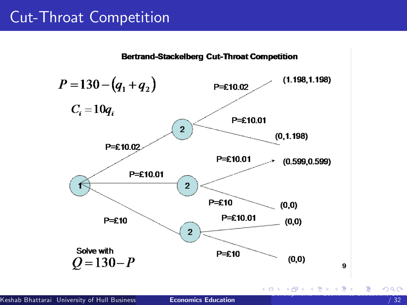# Cut-Throat Competition

<span id="page-28-0"></span>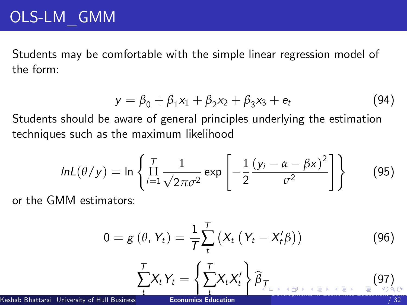Students may be comfortable with the simple linear regression model of the form:

$$
y = \beta_0 + \beta_1 x_1 + \beta_2 x_2 + \beta_3 x_3 + e_t \tag{94}
$$

Students should be aware of general principles underlying the estimation techniques such as the maximum likelihood

$$
lnL(\theta/y) = ln\left\{\prod_{i=1}^{T} \frac{1}{\sqrt{2\pi\sigma^2}} \exp\left[-\frac{1}{2}\frac{(y_i - \alpha - \beta x)^2}{\sigma^2}\right]\right\}
$$
(95)

or the GMM estimators:

$$
0 = g\left(\theta, Y_t\right) = \frac{1}{T} \sum_{t}^{T} \left(X_t \left(Y_t - X_t'\beta\right)\right) \tag{96}
$$

<span id="page-29-0"></span>
$$
\sum_{t}^{T} X_{t} Y_{t} = \left\{ \sum_{t}^{T} X_{t} X_{t}' \right\} \widehat{\beta}_{T_{\square \rightarrow \square \setminus \square \rightarrow \square \setminus \square \rightarrow \square \square \square \square}} \tag{97}
$$

.<br>Keshab Bhattarai University of Hull Business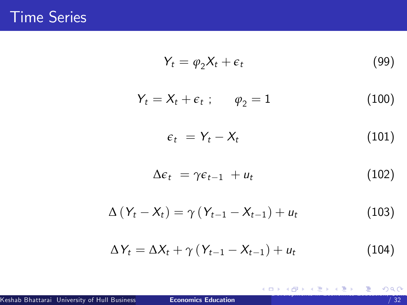Time Series

$$
Y_t = \varphi_2 X_t + \epsilon_t \tag{99}
$$

$$
Y_t = X_t + \epsilon_t \; ; \qquad \varphi_2 = 1 \tag{100}
$$

$$
\epsilon_t = Y_t - X_t \tag{101}
$$

$$
\Delta \epsilon_t = \gamma \epsilon_{t-1} + u_t \tag{102}
$$

$$
\Delta (Y_t - X_t) = \gamma (Y_{t-1} - X_{t-1}) + u_t
$$
\n(103)

$$
\Delta Y_t = \Delta X_t + \gamma \left( Y_{t-1} - X_{t-1} \right) + u_t \tag{104}
$$

<span id="page-30-0"></span>[Dev](#page-31-0)[el](#page-29-0)[opm](#page-30-0)[en](#page-31-0)[ts](#page-28-0) [in](#page-29-0) [Ec](#page-33-0)[on](#page-28-0)[om](#page-29-0)[ics](#page-33-0) [Edu](#page-0-0)[catio](#page-33-0)n, Conference; Sept 8-11,2009, Cardi§, Wales. 29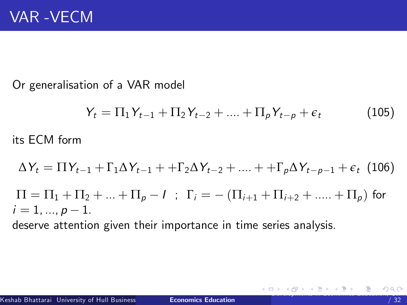Or generalisation of a VAR model

<span id="page-31-0"></span>
$$
Y_t = \Pi_1 Y_{t-1} + \Pi_2 Y_{t-2} + \dots + \Pi_p Y_{t-p} + \epsilon_t
$$
 (105)

its ECM form

$$
\Delta Y_t = \Pi Y_{t-1} + \Gamma_1 \Delta Y_{t-1} + \Gamma_2 \Delta Y_{t-2} + \dots + \Gamma_p \Delta Y_{t-p-1} + \epsilon_t
$$
 (106)  
\n
$$
\Pi = \Pi_1 + \Pi_2 + \dots + \Pi_p - I \; ; \; \Gamma_i = -(\Pi_{i+1} + \Pi_{i+2} + \dots + \Pi_p)
$$
 for  
\n $i = 1, \dots, p-1.$   
\ndeserve attention given their importance in time series analysis.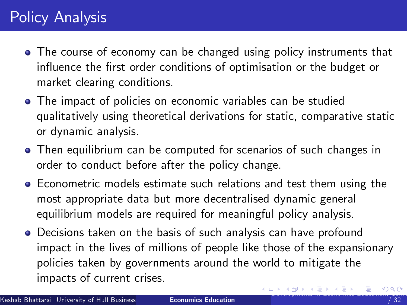# Policy Analysis

- The course of economy can be changed using policy instruments that influence the first order conditions of optimisation or the budget or market clearing conditions.
- The impact of policies on economic variables can be studied qualitatively using theoretical derivations for static, comparative static or dynamic analysis.
- Then equilibrium can be computed for scenarios of such changes in order to conduct before after the policy change.
- **Example 1** Econometric models estimate such relations and test them using the most appropriate data but more decentralised dynamic general equilibrium models are required for meaningful policy analysis.
- <span id="page-32-0"></span>Decisions taken on the basis of such analysis can have profound impact in the lives of millions of people like those of the expansionary policies taken by governments around the world to mitigate the impacts of current crises.